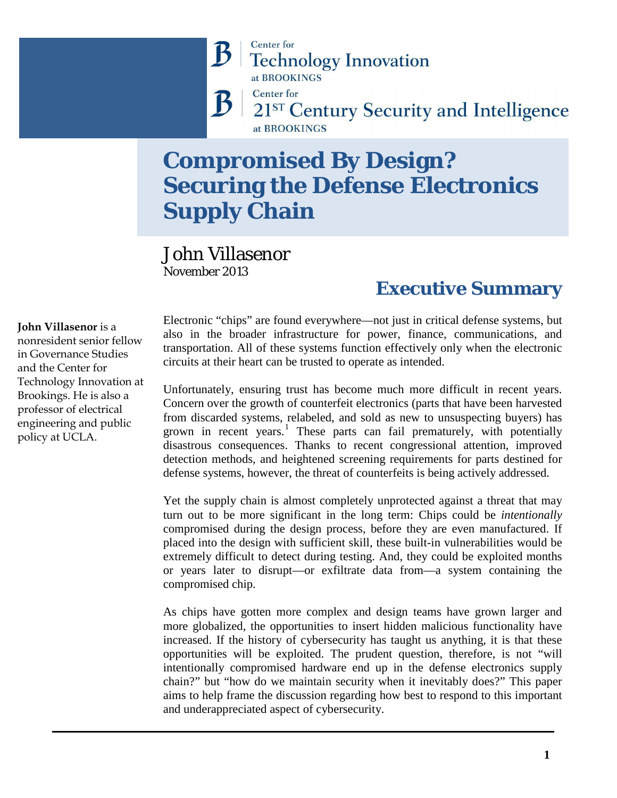### **Center** for **Technology Innovation** at BROOKINGS

**Center** for

21ST Century Security and Intelligence at BROOKINGS

# **Compromised By Design? Securing the Defense Electronics Supply Chain**

### John Villasenor November 2013

B

### **Executive Summary**

Electronic "chips" are found everywhere—not just in critical defense systems, but also in the broader infrastructure for power, finance, communications, and transportation. All of these systems function effectively only when the electronic circuits at their heart can be trusted to operate as intended.

Unfortunately, ensuring trust has become much more difficult in recent years. Concern over the growth of counterfeit electronics (parts that have been harvested from discarded systems, relabeled, and sold as new to unsuspecting buyers) has grown in recent years.<sup>[1](#page-13-0)</sup> These parts can fail prematurely, with potentially disastrous consequences. Thanks to recent congressional attention, improved detection methods, and heightened screening requirements for parts destined for defense systems, however, the threat of counterfeits is being actively addressed.

Yet the supply chain is almost completely unprotected against a threat that may turn out to be more significant in the long term: Chips could be *intentionally* compromised during the design process, before they are even manufactured. If placed into the design with sufficient skill, these built-in vulnerabilities would be extremely difficult to detect during testing. And, they could be exploited months or years later to disrupt—or exfiltrate data from—a system containing the compromised chip.

As chips have gotten more complex and design teams have grown larger and more globalized, the opportunities to insert hidden malicious functionality have increased. If the history of cybersecurity has taught us anything, it is that these opportunities will be exploited. The prudent question, therefore, is not "will intentionally compromised hardware end up in the defense electronics supply chain?" but "how do we maintain security when it inevitably does?" This paper aims to help frame the discussion regarding how best to respond to this important and underappreciated aspect of cybersecurity.

**John Villasenor** is a nonresident senior fellow in Governance Studies and the Center for Technology Innovation at Brookings. He is also a professor of electrical engineering and public policy at UCLA.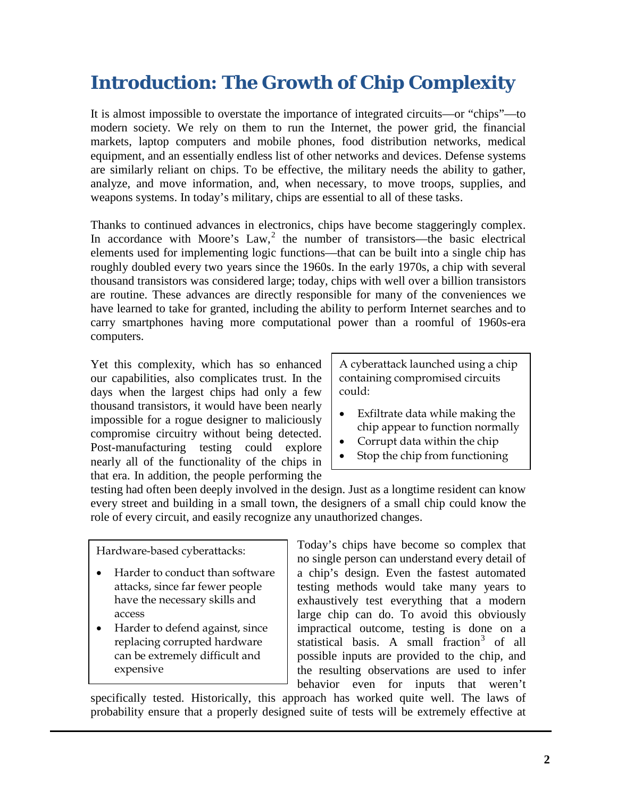## **Introduction: The Growth of Chip Complexity**

It is almost impossible to overstate the importance of integrated circuits—or "chips"—to modern society. We rely on them to run the Internet, the power grid, the financial markets, laptop computers and mobile phones, food distribution networks, medical equipment, and an essentially endless list of other networks and devices. Defense systems are similarly reliant on chips. To be effective, the military needs the ability to gather, analyze, and move information, and, when necessary, to move troops, supplies, and weapons systems. In today's military, chips are essential to all of these tasks.

Thanks to continued advances in electronics, chips have become staggeringly complex. In accordance with Moore's  $Law<sub>1</sub><sup>2</sup>$  $Law<sub>1</sub><sup>2</sup>$  $Law<sub>1</sub><sup>2</sup>$  the number of transistors—the basic electrical elements used for implementing logic functions—that can be built into a single chip has roughly doubled every two years since the 1960s. In the early 1970s, a chip with several thousand transistors was considered large; today, chips with well over a billion transistors are routine. These advances are directly responsible for many of the conveniences we have learned to take for granted, including the ability to perform Internet searches and to carry smartphones having more computational power than a roomful of 1960s-era computers.

Yet this complexity, which has so enhanced our capabilities, also complicates trust. In the days when the largest chips had only a few thousand transistors, it would have been nearly impossible for a rogue designer to maliciously compromise circuitry without being detected. Post-manufacturing testing could explore nearly all of the functionality of the chips in that era. In addition, the people performing the A cyberattack launched using a chip containing compromised circuits could:

- Exfiltrate data while making the chip appear to function normally
- Corrupt data within the chip
- Stop the chip from functioning

testing had often been deeply involved in the design. Just as a longtime resident can know every street and building in a small town, the designers of a small chip could know the role of every circuit, and easily recognize any unauthorized changes.

Hardware-based cyberattacks:

- Harder to conduct than software attacks, since far fewer people have the necessary skills and access
- Harder to defend against, since replacing corrupted hardware can be extremely difficult and expensive

Today's chips have become so complex that no single person can understand every detail of a chip's design. Even the fastest automated testing methods would take many years to exhaustively test everything that a modern large chip can do. To avoid this obviously impractical outcome, testing is done on a statistical basis. A small fraction<sup>[3](#page-14-1)</sup> of all possible inputs are provided to the chip, and the resulting observations are used to infer behavior even for inputs that weren't

specifically tested. Historically, this approach has worked quite well. The laws of probability ensure that a properly designed suite of tests will be extremely effective at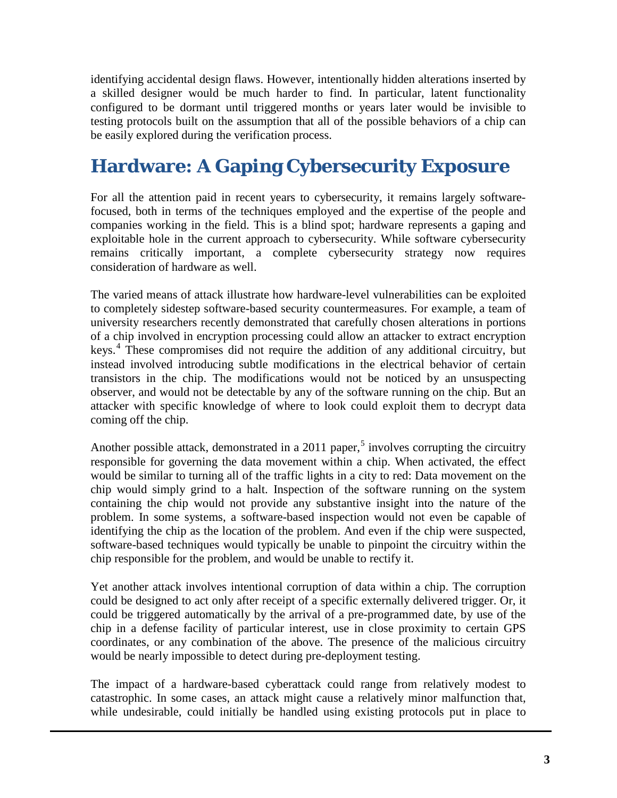identifying accidental design flaws. However, intentionally hidden alterations inserted by a skilled designer would be much harder to find. In particular, latent functionality configured to be dormant until triggered months or years later would be invisible to testing protocols built on the assumption that all of the possible behaviors of a chip can be easily explored during the verification process.

# **Hardware: A Gaping Cybersecurity Exposure**

For all the attention paid in recent years to cybersecurity, it remains largely softwarefocused, both in terms of the techniques employed and the expertise of the people and companies working in the field. This is a blind spot; hardware represents a gaping and exploitable hole in the current approach to cybersecurity. While software cybersecurity remains critically important, a complete cybersecurity strategy now requires consideration of hardware as well.

The varied means of attack illustrate how hardware-level vulnerabilities can be exploited to completely sidestep software-based security countermeasures. For example, a team of university researchers recently demonstrated that carefully chosen alterations in portions of a chip involved in encryption processing could allow an attacker to extract encryption keys.<sup>[4](#page-15-0)</sup> These compromises did not require the addition of any additional circuitry, but instead involved introducing subtle modifications in the electrical behavior of certain transistors in the chip. The modifications would not be noticed by an unsuspecting observer, and would not be detectable by any of the software running on the chip. But an attacker with specific knowledge of where to look could exploit them to decrypt data coming off the chip.

Another possible attack, demonstrated in a 2011 paper,<sup>[5](#page-15-1)</sup> involves corrupting the circuitry responsible for governing the data movement within a chip. When activated, the effect would be similar to turning all of the traffic lights in a city to red: Data movement on the chip would simply grind to a halt. Inspection of the software running on the system containing the chip would not provide any substantive insight into the nature of the problem. In some systems, a software-based inspection would not even be capable of identifying the chip as the location of the problem. And even if the chip were suspected, software-based techniques would typically be unable to pinpoint the circuitry within the chip responsible for the problem, and would be unable to rectify it.

Yet another attack involves intentional corruption of data within a chip. The corruption could be designed to act only after receipt of a specific externally delivered trigger. Or, it could be triggered automatically by the arrival of a pre-programmed date, by use of the chip in a defense facility of particular interest, use in close proximity to certain GPS coordinates, or any combination of the above. The presence of the malicious circuitry would be nearly impossible to detect during pre-deployment testing.

The impact of a hardware-based cyberattack could range from relatively modest to catastrophic. In some cases, an attack might cause a relatively minor malfunction that, while undesirable, could initially be handled using existing protocols put in place to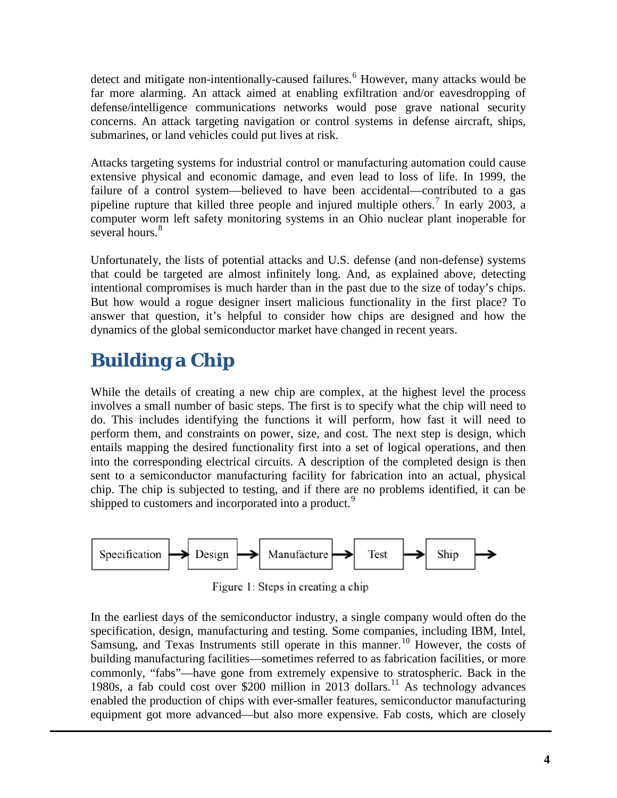detect and mitigate non-intentionally-caused failures.<sup>[6](#page-16-0)</sup> However, many attacks would be far more alarming. An attack aimed at enabling exfiltration and/or eavesdropping of defense/intelligence communications networks would pose grave national security concerns. An attack targeting navigation or control systems in defense aircraft, ships, submarines, or land vehicles could put lives at risk.

Attacks targeting systems for industrial control or manufacturing automation could cause extensive physical and economic damage, and even lead to loss of life. In 1999, the failure of a control system—believed to have been accidental—contributed to a gas pipeline rupture that killed three people and injured multiple others.<sup>[7](#page-16-1)</sup> In early 2003, a computer worm left safety monitoring systems in an Ohio nuclear plant inoperable for several hours.<sup>[8](#page-16-2)</sup>

Unfortunately, the lists of potential attacks and U.S. defense (and non-defense) systems that could be targeted are almost infinitely long. And, as explained above, detecting intentional compromises is much harder than in the past due to the size of today's chips. But how would a rogue designer insert malicious functionality in the first place? To answer that question, it's helpful to consider how chips are designed and how the dynamics of the global semiconductor market have changed in recent years.

# **Building a Chip**

While the details of creating a new chip are complex, at the highest level the process involves a small number of basic steps. The first is to specify what the chip will need to do. This includes identifying the functions it will perform, how fast it will need to perform them, and constraints on power, size, and cost. The next step is design, which entails mapping the desired functionality first into a set of logical operations, and then into the corresponding electrical circuits. A description of the completed design is then sent to a semiconductor manufacturing facility for fabrication into an actual, physical chip. The chip is subjected to testing, and if there are no problems identified, it can be shipped to customers and incorporated into a product.<sup>[9](#page-16-3)</sup>



Figure 1: Steps in creating a chip

In the earliest days of the semiconductor industry, a single company would often do the specification, design, manufacturing and testing. Some companies, including IBM, Intel, Samsung, and Texas Instruments still operate in this manner.<sup>[10](#page-16-4)</sup> However, the costs of building manufacturing facilities—sometimes referred to as fabrication facilities, or more commonly, "fabs"—have gone from extremely expensive to stratospheric. Back in the 1980s, a fab could cost over \$200 million in 2013 dollars.<sup>[11](#page-16-5)</sup> As technology advances enabled the production of chips with ever-smaller features, semiconductor manufacturing equipment got more advanced—but also more expensive. Fab costs, which are closely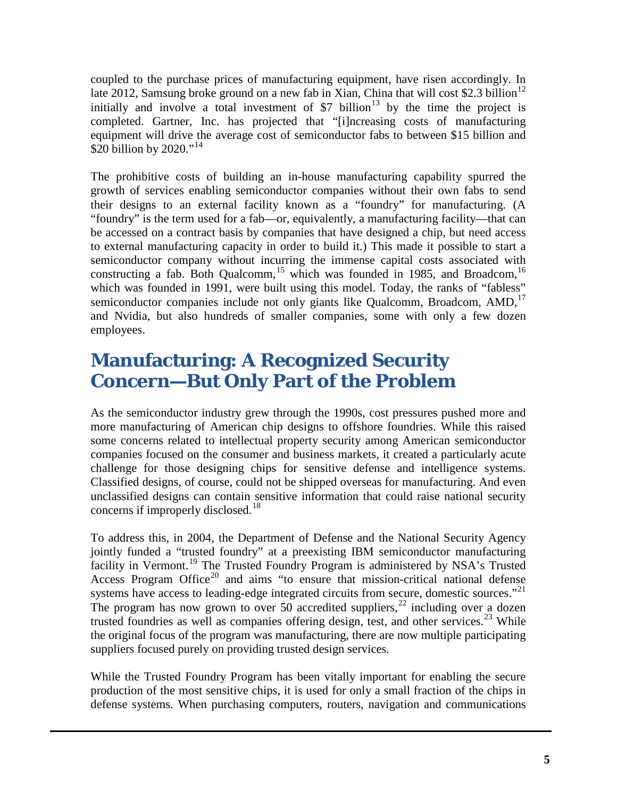coupled to the purchase prices of manufacturing equipment, have risen accordingly. In late 20[12](#page-17-0), Samsung broke ground on a new fab in Xian, China that will cost \$2.3 billion<sup>12</sup> initially and involve a total investment of  $$7$  billion<sup>[13](#page-17-1)</sup> by the time the project is completed. Gartner, Inc. has projected that "[i]ncreasing costs of manufacturing equipment will drive the average cost of semiconductor fabs to between \$15 billion and \$20 billion by 2020."<sup>[14](#page-17-2)</sup>

The prohibitive costs of building an in-house manufacturing capability spurred the growth of services enabling semiconductor companies without their own fabs to send their designs to an external facility known as a "foundry" for manufacturing. (A "foundry" is the term used for a fab—or, equivalently, a manufacturing facility—that can be accessed on a contract basis by companies that have designed a chip, but need access to external manufacturing capacity in order to build it.) This made it possible to start a semiconductor company without incurring the immense capital costs associated with constructing a fab. Both Qualcomm,<sup>[15](#page-17-3)</sup> which was founded in 1985, and Broadcom,<sup>[16](#page-17-4)</sup> which was founded in 1991, were built using this model. Today, the ranks of "fabless" semiconductor companies include not only giants like Qualcomm, Broadcom, AMD,<sup>[17](#page-17-5)</sup> and Nvidia, but also hundreds of smaller companies, some with only a few dozen employees.

### **Manufacturing: A Recognized Security Concern—But Only Part of the Problem**

As the semiconductor industry grew through the 1990s, cost pressures pushed more and more manufacturing of American chip designs to offshore foundries. While this raised some concerns related to intellectual property security among American semiconductor companies focused on the consumer and business markets, it created a particularly acute challenge for those designing chips for sensitive defense and intelligence systems. Classified designs, of course, could not be shipped overseas for manufacturing. And even unclassified designs can contain sensitive information that could raise national security concerns if improperly disclosed.<sup>[18](#page-17-6)</sup>

To address this, in 2004, the Department of Defense and the National Security Agency jointly funded a "trusted foundry" at a preexisting IBM semiconductor manufacturing facility in Vermont.<sup>[19](#page-17-7)</sup> The Trusted Foundry Program is administered by NSA's Trusted Access Program Office<sup>[20](#page-17-8)</sup> and aims "to ensure that mission-critical national defense systems have access to leading-edge integrated circuits from secure, domestic sources."<sup>[21](#page-17-9)</sup> The program has now grown to over 50 accredited suppliers,  $^{22}$  $^{22}$  $^{22}$  including over a dozen trusted foundries as well as companies offering design, test, and other services.<sup>[23](#page-17-11)</sup> While the original focus of the program was manufacturing, there are now multiple participating suppliers focused purely on providing trusted design services.

While the Trusted Foundry Program has been vitally important for enabling the secure production of the most sensitive chips, it is used for only a small fraction of the chips in defense systems. When purchasing computers, routers, navigation and communications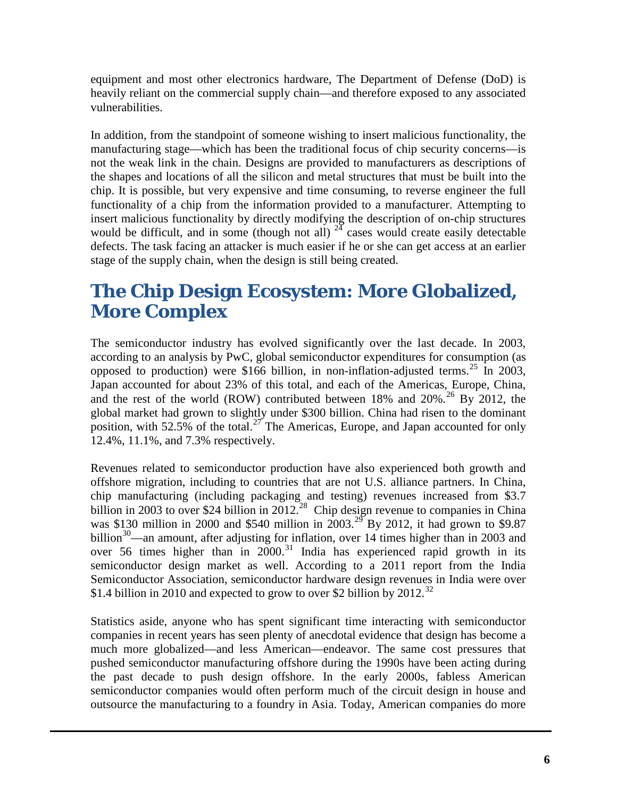equipment and most other electronics hardware, The Department of Defense (DoD) is heavily reliant on the commercial supply chain—and therefore exposed to any associated vulnerabilities.

In addition, from the standpoint of someone wishing to insert malicious functionality, the manufacturing stage—which has been the traditional focus of chip security concerns—is not the weak link in the chain. Designs are provided to manufacturers as descriptions of the shapes and locations of all the silicon and metal structures that must be built into the chip. It is possible, but very expensive and time consuming, to reverse engineer the full functionality of a chip from the information provided to a manufacturer. Attempting to insert malicious functionality by directly modifying the description of on-chip structures would be difficult, and in some (though not all)  $24$  cases would create easily detectable defects. The task facing an attacker is much easier if he or she can get access at an earlier stage of the supply chain, when the design is still being created.

### **The Chip Design Ecosystem: More Globalized, More Complex**

The semiconductor industry has evolved significantly over the last decade. In 2003, according to an analysis by PwC, global semiconductor expenditures for consumption (as opposed to production) were \$166 billion, in non-inflation-adjusted terms.<sup>[25](#page-17-13)</sup> In 2003, Japan accounted for about 23% of this total, and each of the Americas, Europe, China, and the rest of the world (ROW) contributed between 18% and  $20\%$ .<sup>[26](#page-17-14)</sup> By 2012, the global market had grown to slightly under \$300 billion. China had risen to the dominant position, with  $52.5\%$  of the total.<sup>[27](#page-17-15)</sup> The Americas, Europe, and Japan accounted for only 12.4%, 11.1%, and 7.3% respectively.

Revenues related to semiconductor production have also experienced both growth and offshore migration, including to countries that are not U.S. alliance partners. In China, chip manufacturing (including packaging and testing) revenues increased from \$3.7 billion in 2003 to over \$24 billion in 2012.<sup>[28](#page-17-16)</sup> Chip design revenue to companies in China was \$130 million in 2000 and \$540 million in  $2003.<sup>29</sup>$  $2003.<sup>29</sup>$  $2003.<sup>29</sup>$  By 2012, it had grown to \$9.87 billion<sup>30</sup>—an amount, after adjusting for inflation, over 14 times higher than in 2003 and over 56 times higher than in 2000.<sup>[31](#page-17-19)</sup> India has experienced rapid growth in its semiconductor design market as well. According to a 2011 report from the India Semiconductor Association, semiconductor hardware design revenues in India were over \$1.4 billion in 2010 and expected to grow to over \$2 billion by 2012.<sup>[32](#page-17-20)</sup>

Statistics aside, anyone who has spent significant time interacting with semiconductor companies in recent years has seen plenty of anecdotal evidence that design has become a much more globalized—and less American—endeavor. The same cost pressures that pushed semiconductor manufacturing offshore during the 1990s have been acting during the past decade to push design offshore. In the early 2000s, fabless American semiconductor companies would often perform much of the circuit design in house and outsource the manufacturing to a foundry in Asia. Today, American companies do more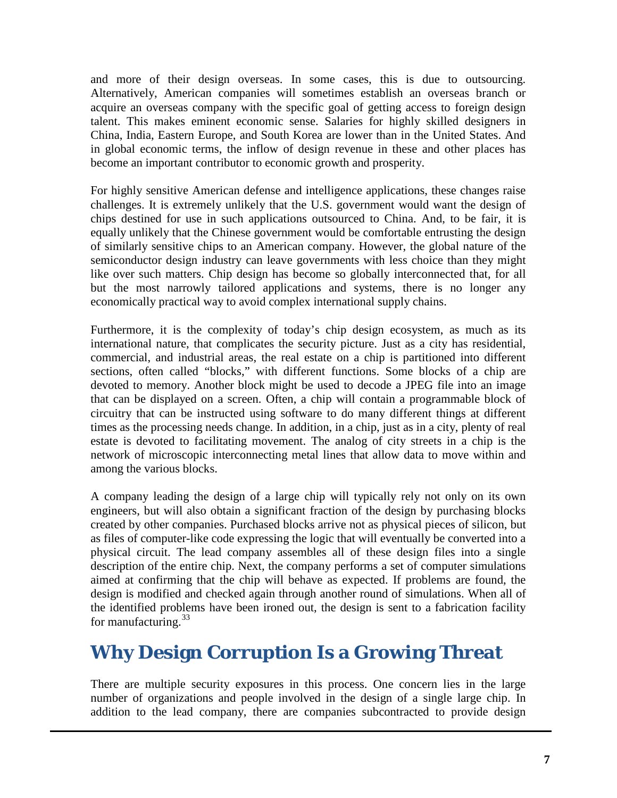and more of their design overseas. In some cases, this is due to outsourcing. Alternatively, American companies will sometimes establish an overseas branch or acquire an overseas company with the specific goal of getting access to foreign design talent. This makes eminent economic sense. Salaries for highly skilled designers in China, India, Eastern Europe, and South Korea are lower than in the United States. And in global economic terms, the inflow of design revenue in these and other places has become an important contributor to economic growth and prosperity.

For highly sensitive American defense and intelligence applications, these changes raise challenges. It is extremely unlikely that the U.S. government would want the design of chips destined for use in such applications outsourced to China. And, to be fair, it is equally unlikely that the Chinese government would be comfortable entrusting the design of similarly sensitive chips to an American company. However, the global nature of the semiconductor design industry can leave governments with less choice than they might like over such matters. Chip design has become so globally interconnected that, for all but the most narrowly tailored applications and systems, there is no longer any economically practical way to avoid complex international supply chains.

Furthermore, it is the complexity of today's chip design ecosystem, as much as its international nature, that complicates the security picture. Just as a city has residential, commercial, and industrial areas, the real estate on a chip is partitioned into different sections, often called "blocks," with different functions. Some blocks of a chip are devoted to memory. Another block might be used to decode a JPEG file into an image that can be displayed on a screen. Often, a chip will contain a programmable block of circuitry that can be instructed using software to do many different things at different times as the processing needs change. In addition, in a chip, just as in a city, plenty of real estate is devoted to facilitating movement. The analog of city streets in a chip is the network of microscopic interconnecting metal lines that allow data to move within and among the various blocks.

A company leading the design of a large chip will typically rely not only on its own engineers, but will also obtain a significant fraction of the design by purchasing blocks created by other companies. Purchased blocks arrive not as physical pieces of silicon, but as files of computer-like code expressing the logic that will eventually be converted into a physical circuit. The lead company assembles all of these design files into a single description of the entire chip. Next, the company performs a set of computer simulations aimed at confirming that the chip will behave as expected. If problems are found, the design is modified and checked again through another round of simulations. When all of the identified problems have been ironed out, the design is sent to a fabrication facility for manufacturing.  $33$ 

## **Why Design Corruption Is a Growing Threat**

There are multiple security exposures in this process. One concern lies in the large number of organizations and people involved in the design of a single large chip. In addition to the lead company, there are companies subcontracted to provide design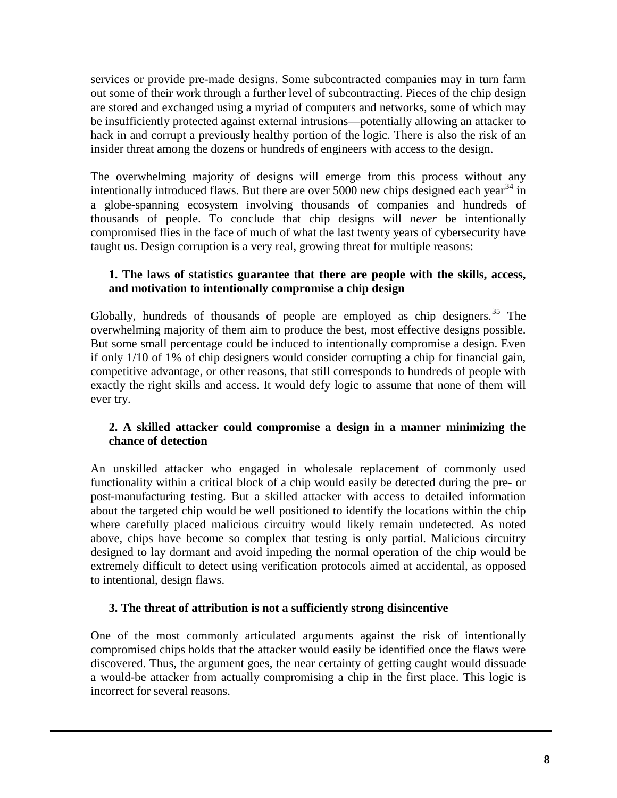services or provide pre-made designs. Some subcontracted companies may in turn farm out some of their work through a further level of subcontracting. Pieces of the chip design are stored and exchanged using a myriad of computers and networks, some of which may be insufficiently protected against external intrusions—potentially allowing an attacker to hack in and corrupt a previously healthy portion of the logic. There is also the risk of an insider threat among the dozens or hundreds of engineers with access to the design.

The overwhelming majority of designs will emerge from this process without any intentionally introduced flaws. But there are over 5000 new chips designed each year  $34$  in a globe-spanning ecosystem involving thousands of companies and hundreds of thousands of people. To conclude that chip designs will *never* be intentionally compromised flies in the face of much of what the last twenty years of cybersecurity have taught us. Design corruption is a very real, growing threat for multiple reasons:

### **1. The laws of statistics guarantee that there are people with the skills, access, and motivation to intentionally compromise a chip design**

Globally, hundreds of thousands of people are employed as chip designers.<sup>[35](#page-17-22)</sup> The overwhelming majority of them aim to produce the best, most effective designs possible. But some small percentage could be induced to intentionally compromise a design. Even if only 1/10 of 1% of chip designers would consider corrupting a chip for financial gain, competitive advantage, or other reasons, that still corresponds to hundreds of people with exactly the right skills and access. It would defy logic to assume that none of them will ever try.

### **2. A skilled attacker could compromise a design in a manner minimizing the chance of detection**

An unskilled attacker who engaged in wholesale replacement of commonly used functionality within a critical block of a chip would easily be detected during the pre- or post-manufacturing testing. But a skilled attacker with access to detailed information about the targeted chip would be well positioned to identify the locations within the chip where carefully placed malicious circuitry would likely remain undetected. As noted above, chips have become so complex that testing is only partial. Malicious circuitry designed to lay dormant and avoid impeding the normal operation of the chip would be extremely difficult to detect using verification protocols aimed at accidental, as opposed to intentional, design flaws.

### **3. The threat of attribution is not a sufficiently strong disincentive**

One of the most commonly articulated arguments against the risk of intentionally compromised chips holds that the attacker would easily be identified once the flaws were discovered. Thus, the argument goes, the near certainty of getting caught would dissuade a would-be attacker from actually compromising a chip in the first place. This logic is incorrect for several reasons.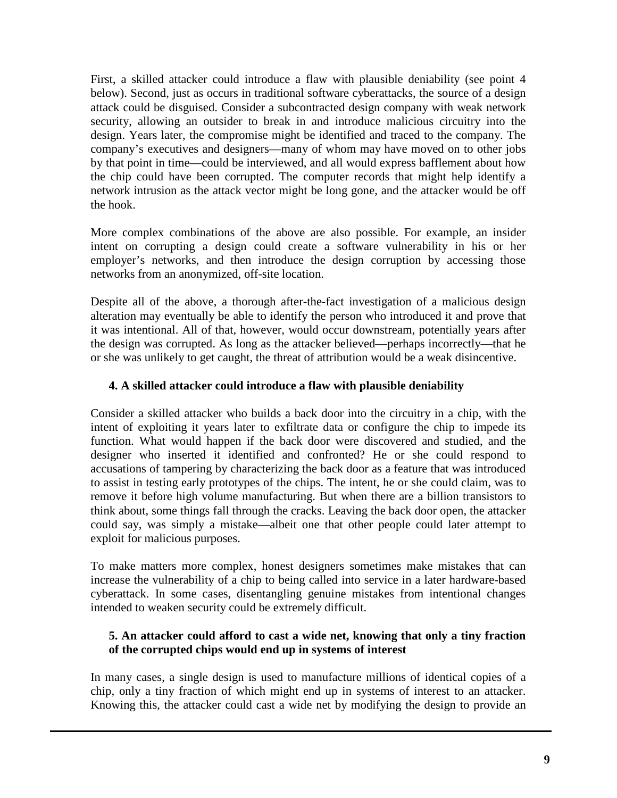First, a skilled attacker could introduce a flaw with plausible deniability (see point 4 below). Second, just as occurs in traditional software cyberattacks, the source of a design attack could be disguised. Consider a subcontracted design company with weak network security, allowing an outsider to break in and introduce malicious circuitry into the design. Years later, the compromise might be identified and traced to the company. The company's executives and designers—many of whom may have moved on to other jobs by that point in time—could be interviewed, and all would express bafflement about how the chip could have been corrupted. The computer records that might help identify a network intrusion as the attack vector might be long gone, and the attacker would be off the hook.

More complex combinations of the above are also possible. For example, an insider intent on corrupting a design could create a software vulnerability in his or her employer's networks, and then introduce the design corruption by accessing those networks from an anonymized, off-site location.

Despite all of the above, a thorough after-the-fact investigation of a malicious design alteration may eventually be able to identify the person who introduced it and prove that it was intentional. All of that, however, would occur downstream, potentially years after the design was corrupted. As long as the attacker believed—perhaps incorrectly—that he or she was unlikely to get caught, the threat of attribution would be a weak disincentive.

### **4. A skilled attacker could introduce a flaw with plausible deniability**

Consider a skilled attacker who builds a back door into the circuitry in a chip, with the intent of exploiting it years later to exfiltrate data or configure the chip to impede its function. What would happen if the back door were discovered and studied, and the designer who inserted it identified and confronted? He or she could respond to accusations of tampering by characterizing the back door as a feature that was introduced to assist in testing early prototypes of the chips. The intent, he or she could claim, was to remove it before high volume manufacturing. But when there are a billion transistors to think about, some things fall through the cracks. Leaving the back door open, the attacker could say, was simply a mistake—albeit one that other people could later attempt to exploit for malicious purposes.

To make matters more complex, honest designers sometimes make mistakes that can increase the vulnerability of a chip to being called into service in a later hardware-based cyberattack. In some cases, disentangling genuine mistakes from intentional changes intended to weaken security could be extremely difficult.

### **5. An attacker could afford to cast a wide net, knowing that only a tiny fraction of the corrupted chips would end up in systems of interest**

In many cases, a single design is used to manufacture millions of identical copies of a chip, only a tiny fraction of which might end up in systems of interest to an attacker. Knowing this, the attacker could cast a wide net by modifying the design to provide an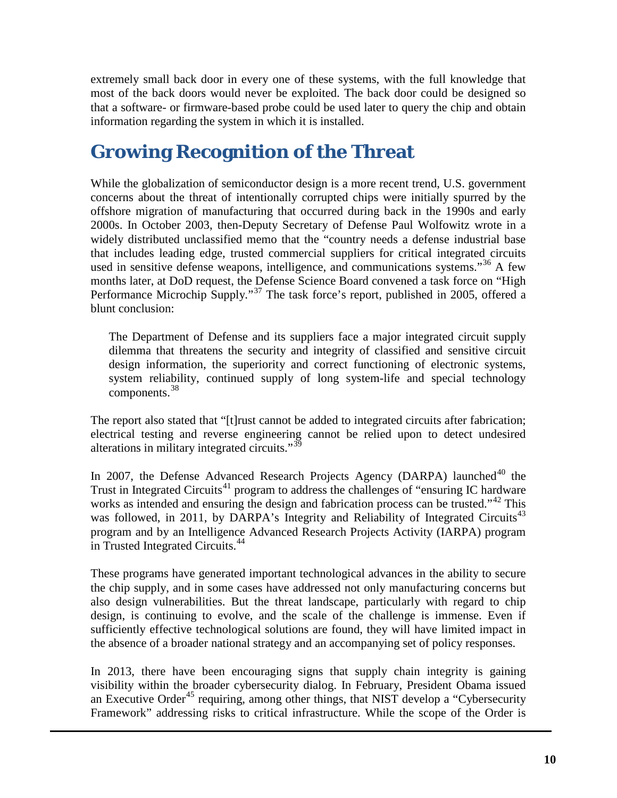extremely small back door in every one of these systems, with the full knowledge that most of the back doors would never be exploited. The back door could be designed so that a software- or firmware-based probe could be used later to query the chip and obtain information regarding the system in which it is installed.

## **Growing Recognition of the Threat**

While the globalization of semiconductor design is a more recent trend, U.S. government concerns about the threat of intentionally corrupted chips were initially spurred by the offshore migration of manufacturing that occurred during back in the 1990s and early 2000s. In October 2003, then-Deputy Secretary of Defense Paul Wolfowitz wrote in a widely distributed unclassified memo that the "country needs a defense industrial base that includes leading edge, trusted commercial suppliers for critical integrated circuits used in sensitive defense weapons, intelligence, and communications systems."<sup>[36](#page-17-23)</sup> A few months later, at DoD request, the Defense Science Board convened a task force on "High Performance Microchip Supply."<sup>[37](#page-17-24)</sup> The task force's report, published in 2005, offered a blunt conclusion:

The Department of Defense and its suppliers face a major integrated circuit supply dilemma that threatens the security and integrity of classified and sensitive circuit design information, the superiority and correct functioning of electronic systems, system reliability, continued supply of long system-life and special technology components.[38](#page-17-25)

The report also stated that "[t]rust cannot be added to integrated circuits after fabrication; electrical testing and reverse engineering cannot be relied upon to detect undesired alterations in military integrated circuits."<sup>[39](#page-17-8)</sup>

In 2007, the Defense Advanced Research Projects Agency (DARPA) launched<sup>[40](#page-17-26)</sup> the Trust in Integrated Circuits<sup>[41](#page-17-27)</sup> program to address the challenges of "ensuring IC hardware" works as intended and ensuring the design and fabrication process can be trusted."<sup>[42](#page-17-28)</sup> This was followed, in 2011, by DARPA's Integrity and Reliability of Integrated Circuits<sup>[43](#page-17-29)</sup> program and by an Intelligence Advanced Research Projects Activity (IARPA) program in Trusted Integrated Circuits.[44](#page-17-30)

These programs have generated important technological advances in the ability to secure the chip supply, and in some cases have addressed not only manufacturing concerns but also design vulnerabilities. But the threat landscape, particularly with regard to chip design, is continuing to evolve, and the scale of the challenge is immense. Even if sufficiently effective technological solutions are found, they will have limited impact in the absence of a broader national strategy and an accompanying set of policy responses.

In 2013, there have been encouraging signs that supply chain integrity is gaining visibility within the broader cybersecurity dialog. In February, President Obama issued an Executive Order<sup>[45](#page-17-31)</sup> requiring, among other things, that NIST develop a "Cybersecurity Framework" addressing risks to critical infrastructure. While the scope of the Order is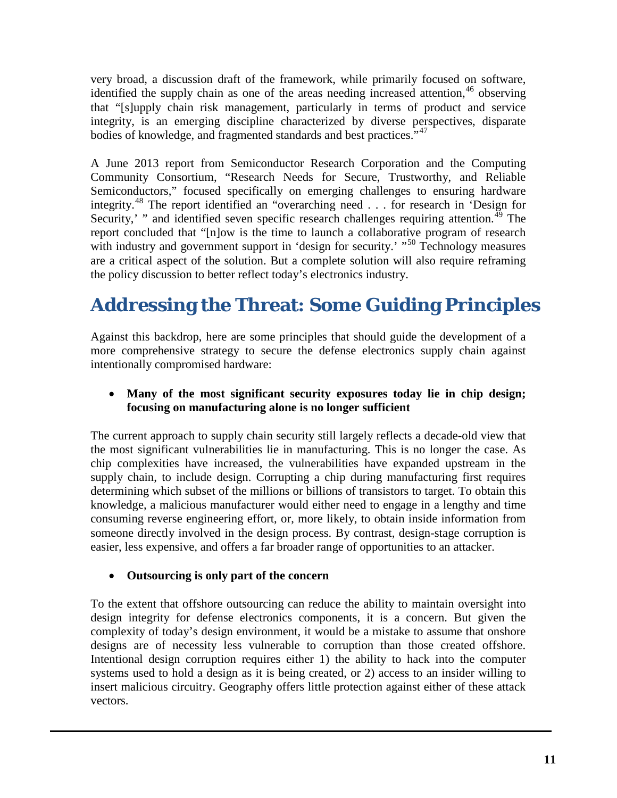very broad, a discussion draft of the framework, while primarily focused on software, identified the supply chain as one of the areas needing increased attention, [46](#page-17-15) observing that "[s]upply chain risk management, particularly in terms of product and service integrity, is an emerging discipline characterized by diverse perspectives, disparate bodies of knowledge, and fragmented standards and best practices."<sup>[47](#page-17-32)</sup>

A June 2013 report from Semiconductor Research Corporation and the Computing Community Consortium, "Research Needs for Secure, Trustworthy, and Reliable Semiconductors," focused specifically on emerging challenges to ensuring hardware integrity.<sup>[48](#page-17-33)</sup> The report identified an "overarching need  $\ldots$  for research in 'Design for Security,' " and identified seven specific research challenges requiring attention.<sup>[49](#page-17-19)</sup> The report concluded that "[n]ow is the time to launch a collaborative program of research with industry and government support in 'design for security.' "<sup>[50](#page-17-34)</sup> Technology measures are a critical aspect of the solution. But a complete solution will also require reframing the policy discussion to better reflect today's electronics industry.

# **Addressing the Threat: Some Guiding Principles**

Against this backdrop, here are some principles that should guide the development of a more comprehensive strategy to secure the defense electronics supply chain against intentionally compromised hardware:

### • **Many of the most significant security exposures today lie in chip design; focusing on manufacturing alone is no longer sufficient**

The current approach to supply chain security still largely reflects a decade-old view that the most significant vulnerabilities lie in manufacturing. This is no longer the case. As chip complexities have increased, the vulnerabilities have expanded upstream in the supply chain, to include design. Corrupting a chip during manufacturing first requires determining which subset of the millions or billions of transistors to target. To obtain this knowledge, a malicious manufacturer would either need to engage in a lengthy and time consuming reverse engineering effort, or, more likely, to obtain inside information from someone directly involved in the design process. By contrast, design-stage corruption is easier, less expensive, and offers a far broader range of opportunities to an attacker.

### • **Outsourcing is only part of the concern**

To the extent that offshore outsourcing can reduce the ability to maintain oversight into design integrity for defense electronics components, it is a concern. But given the complexity of today's design environment, it would be a mistake to assume that onshore designs are of necessity less vulnerable to corruption than those created offshore. Intentional design corruption requires either 1) the ability to hack into the computer systems used to hold a design as it is being created, or 2) access to an insider willing to insert malicious circuitry. Geography offers little protection against either of these attack vectors.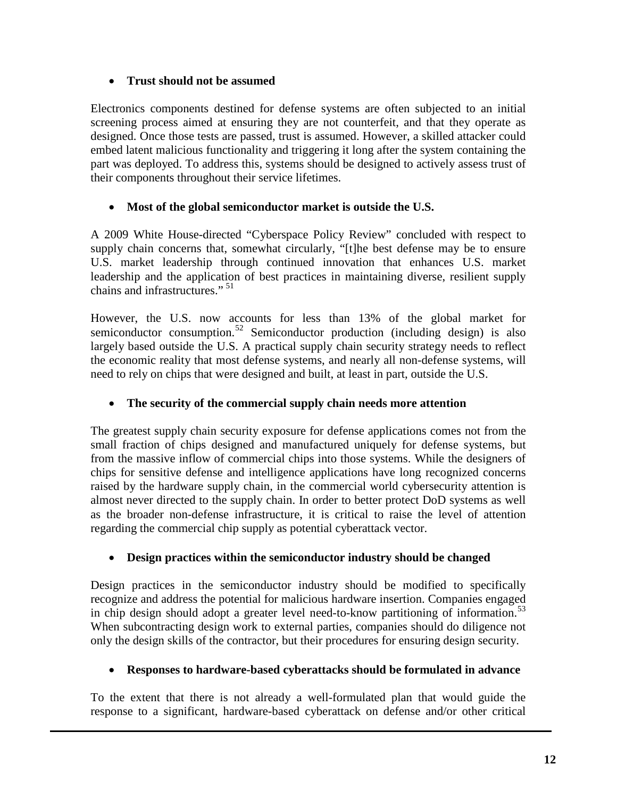### • **Trust should not be assumed**

Electronics components destined for defense systems are often subjected to an initial screening process aimed at ensuring they are not counterfeit, and that they operate as designed. Once those tests are passed, trust is assumed. However, a skilled attacker could embed latent malicious functionality and triggering it long after the system containing the part was deployed. To address this, systems should be designed to actively assess trust of their components throughout their service lifetimes.

### • **Most of the global semiconductor market is outside the U.S.**

A 2009 White House-directed "Cyberspace Policy Review" concluded with respect to supply chain concerns that, somewhat circularly, "[t]he best defense may be to ensure U.S. market leadership through continued innovation that enhances U.S. market leadership and the application of best practices in maintaining diverse, resilient supply chains and infrastructures."<sup>[51](#page-17-35)</sup>

However, the U.S. now accounts for less than 13% of the global market for semiconductor consumption.<sup>[52](#page-17-36)</sup> Semiconductor production (including design) is also largely based outside the U.S. A practical supply chain security strategy needs to reflect the economic reality that most defense systems, and nearly all non-defense systems, will need to rely on chips that were designed and built, at least in part, outside the U.S.

### • **The security of the commercial supply chain needs more attention**

The greatest supply chain security exposure for defense applications comes not from the small fraction of chips designed and manufactured uniquely for defense systems, but from the massive inflow of commercial chips into those systems. While the designers of chips for sensitive defense and intelligence applications have long recognized concerns raised by the hardware supply chain, in the commercial world cybersecurity attention is almost never directed to the supply chain. In order to better protect DoD systems as well as the broader non-defense infrastructure, it is critical to raise the level of attention regarding the commercial chip supply as potential cyberattack vector.

### • **Design practices within the semiconductor industry should be changed**

Design practices in the semiconductor industry should be modified to specifically recognize and address the potential for malicious hardware insertion. Companies engaged in chip design should adopt a greater level need-to-know partitioning of information.<sup>[53](#page-17-5)</sup> When subcontracting design work to external parties, companies should do diligence not only the design skills of the contractor, but their procedures for ensuring design security.

### • **Responses to hardware-based cyberattacks should be formulated in advance**

To the extent that there is not already a well-formulated plan that would guide the response to a significant, hardware-based cyberattack on defense and/or other critical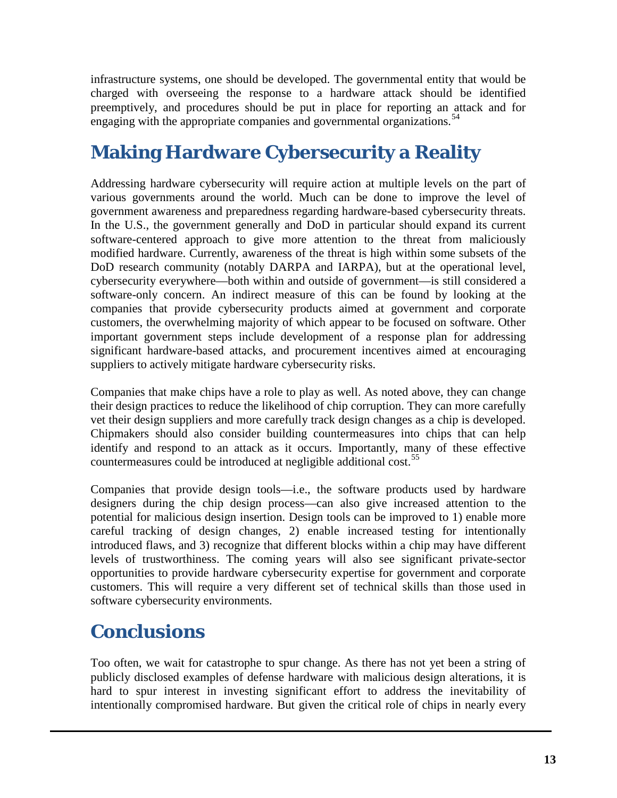infrastructure systems, one should be developed. The governmental entity that would be charged with overseeing the response to a hardware attack should be identified preemptively, and procedures should be put in place for reporting an attack and for engaging with the appropriate companies and governmental organizations.<sup>[54](#page-17-37)</sup>

# **Making Hardware Cybersecurity a Reality**

Addressing hardware cybersecurity will require action at multiple levels on the part of various governments around the world. Much can be done to improve the level of government awareness and preparedness regarding hardware-based cybersecurity threats. In the U.S., the government generally and DoD in particular should expand its current software-centered approach to give more attention to the threat from maliciously modified hardware. Currently, awareness of the threat is high within some subsets of the DoD research community (notably DARPA and IARPA), but at the operational level, cybersecurity everywhere—both within and outside of government—is still considered a software-only concern. An indirect measure of this can be found by looking at the companies that provide cybersecurity products aimed at government and corporate customers, the overwhelming majority of which appear to be focused on software. Other important government steps include development of a response plan for addressing significant hardware-based attacks, and procurement incentives aimed at encouraging suppliers to actively mitigate hardware cybersecurity risks.

Companies that make chips have a role to play as well. As noted above, they can change their design practices to reduce the likelihood of chip corruption. They can more carefully vet their design suppliers and more carefully track design changes as a chip is developed. Chipmakers should also consider building countermeasures into chips that can help identify and respond to an attack as it occurs. Importantly, many of these effective countermeasures could be introduced at negligible additional cost.<sup>55</sup>

Companies that provide design tools—i.e., the software products used by hardware designers during the chip design process—can also give increased attention to the potential for malicious design insertion. Design tools can be improved to 1) enable more careful tracking of design changes, 2) enable increased testing for intentionally introduced flaws, and 3) recognize that different blocks within a chip may have different levels of trustworthiness. The coming years will also see significant private-sector opportunities to provide hardware cybersecurity expertise for government and corporate customers. This will require a very different set of technical skills than those used in software cybersecurity environments.

## **Conclusions**

Too often, we wait for catastrophe to spur change. As there has not yet been a string of publicly disclosed examples of defense hardware with malicious design alterations, it is hard to spur interest in investing significant effort to address the inevitability of intentionally compromised hardware. But given the critical role of chips in nearly every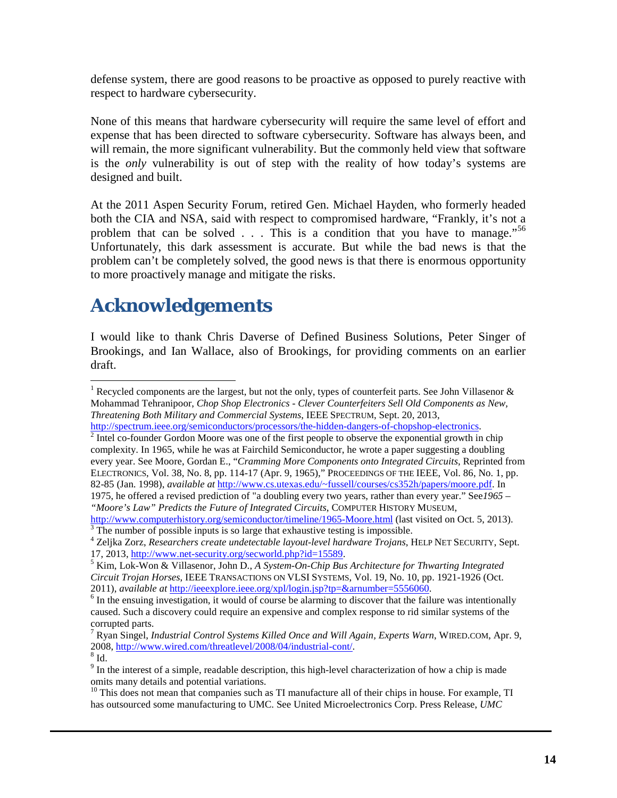defense system, there are good reasons to be proactive as opposed to purely reactive with respect to hardware cybersecurity.

None of this means that hardware cybersecurity will require the same level of effort and expense that has been directed to software cybersecurity. Software has always been, and will remain, the more significant vulnerability. But the commonly held view that software is the *only* vulnerability is out of step with the reality of how today's systems are designed and built.

At the 2011 Aspen Security Forum, retired Gen. Michael Hayden, who formerly headed both the CIA and NSA, said with respect to compromised hardware, "Frankly, it's not a problem that can be solved  $\ldots$ . This is a condition that you have to manage.<sup>5[56](#page-17-8)</sup> Unfortunately, this dark assessment is accurate. But while the bad news is that the problem can't be completely solved, the good news is that there is enormous opportunity to more proactively manage and mitigate the risks.

## **Acknowledgements**

I would like to thank Chris Daverse of Defined Business Solutions, Peter Singer of Brookings, and Ian Wallace, also of Brookings, for providing comments on an earlier draft.

 $h^2$  $h^2$  Intel co-founder Gordon Moore was one of the first people to observe the exponential growth in chip complexity. In 1965, while he was at Fairchild Semiconductor, he wrote a paper suggesting a doubling every year. See Moore, Gordan E., "*Cramming More Components onto Integrated Circuits*, Reprinted from ELECTRONICS, Vol. 38, No. 8, pp. 114-17 (Apr. 9, 1965)," PROCEEDINGS OF THE IEEE, Vol. 86, No. 1, pp. 82-85 (Jan. 1998), *available at* [http://www.cs.utexas.edu/~fussell/courses/cs352h/papers/moore.pdf.](http://www.cs.utexas.edu/%7Efussell/courses/cs352h/papers/moore.pdf) In 1975, he offered a revised prediction of "a doubling every two years, rather than every year." See*1965 –* 

*"Moore's Law" Predicts the Future of Integrated Circuits*, COMPUTER HISTORY MUSEUM,

 $\frac{http://www.computerhistory.org/semiconductor/timeline/1965-Moore.html}{3}$  $\frac{http://www.computerhistory.org/semiconductor/timeline/1965-Moore.html}{3}$  $\frac{http://www.computerhistory.org/semiconductor/timeline/1965-Moore.html}{3}$  (last visited on Oct. 5, 2013).  $\frac{3}{3}$  The number of possible inputs is so large that exhaustive testing is impossible.

<sup>10</sup> This does not mean that companies such as TI manufacture all of their chips in house. For example, TI has outsourced some manufacturing to UMC. See United Microelectronics Corp. Press Release, *UMC* 

<span id="page-13-0"></span><sup>&</sup>lt;sup>1</sup> Recycled components are the largest, but not the only, types of counterfeit parts. See John Villasenor  $\&$ Mohammad Tehranipoor, *Chop Shop Electronics - Clever Counterfeiters Sell Old Components as New, Threatening Both Military and Commercial Systems*, IEEE SPECTRUM, Sept. 20, 2013,

<sup>4</sup> Zeljka Zorz, *Researchers create undetectable layout-level hardware Trojans*, HELP NET SECURITY, Sept.

 $<sup>5</sup>$  Kim, Lok-Won & Villasenor, John D., *A System-On-Chip Bus Architecture for Thwarting Integrated*</sup> *Circuit Trojan Horses*, IEEE TRANSACTIONS ON VLSI SYSTEMS, Vol. 19, No. 10, pp. 1921-1926 (Oct. 2011), *available at* [http://ieeexplore.ieee.org/xpl/login.jsp?tp=&arnumber=5556060.](http://ieeexplore.ieee.org/xpl/login.jsp?tp=&arnumber=5556060)<br><sup>6</sup> In the ensuing investigation, it would of course be alarming to discover that the failure was intentionally

caused. Such a discovery could require an expensive and complex response to rid similar systems of the corrupted parts.

<sup>7</sup> Ryan Singel, *Industrial Control Systems Killed Once and Will Again, Experts Warn*, WIRED.COM, Apr. 9, 2008, [http://www.wired.com/threatlevel/2008/04/industrial-cont/.](http://www.wired.com/threatlevel/2008/04/industrial-cont/)  $^8$  Id.

<sup>&</sup>lt;sup>9</sup> In the interest of a simple, readable description, this high-level characterization of how a chip is made omits many details and potential variations.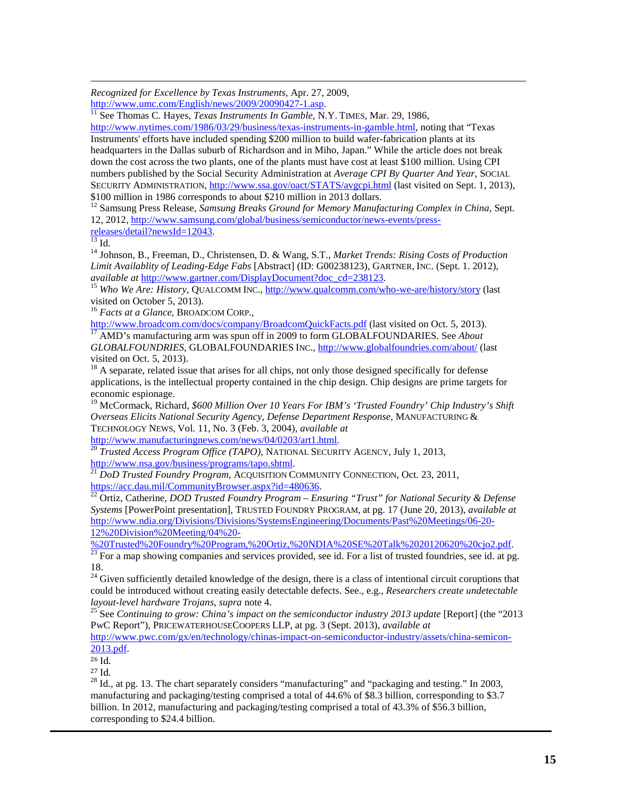*Recognized for Excellence by Texas Instruments*, Apr. 27, 2009, l

[http://www.umc.com/English/news/2009/20090427-1.asp.](http://www.umc.com/English/news/2009/20090427-1.asp)<br><sup>[11](http://www.umc.com/English/news/2009/20090427-1.asp)</sup> See Thomas C. Hayes, *Texas Instruments In Gamble*, N.Y. TIMES, Mar. 29, 1986,

[http://www.nytimes.com/1986/03/29/business/texas-instruments-in-gamble.html,](http://www.nytimes.com/1986/03/29/business/texas-instruments-in-gamble.html) noting that "Texas Instruments' efforts have included spending \$200 million to build wafer-fabrication plants at its headquarters in the Dallas suburb of Richardson and in Miho, Japan." While the article does not break down the cost across the two plants, one of the plants must have cost at least \$100 million. Using CPI numbers published by the Social Security Administration at *Average CPI By Quarter And Year*, SOCIAL SECURITY ADMINISTRATION,<http://www.ssa.gov/oact/STATS/avgcpi.html> (last visited on Sept. 1, 2013), \$100 million in 1986 corresponds to about \$210 million in 2013 dollars.

<sup>12</sup> Samsung Press Release, *Samsung Breaks Ground for Memory Manufacturing Complex in China*, Sept. 12, 2012, http://www.samsung.com/global/business/semiconductor/news-events/press-<br>releases/detail?newsId=12043.<br><sup>13</sup> Id.

<sup>14</sup> Johnson, B., Freeman, D., Christensen, D. & Wang, S.T., *Market Trends: Rising Costs of Production Limit Availablity of Leading-Edge Fabs* [Abstract] (ID: G00238123), GARTNER, INC. (Sept. 1. 2012),

<sup>15</sup> Who We Are: History, QUALCOMM INC.,<http://www.qualcomm.com/who-we-are/history/story> (last visited on October 5, 2013).

<sup>16</sup> *Facts at a Glance*, BROADCOM CORP.,

<http://www.broadcom.com/docs/company/BroadcomQuickFacts.pdf> (last visited on Oct. 5, 2013). <sup>17</sup> AMD's manufacturing arm was spun off in 2009 to form GLOBALFOUNDARIES. See *About* 

*GLOBALFOUNDRIES*, GLOBALFOUNDARIES INC.[, http://www.globalfoundries.com/about/](http://www.globalfoundries.com/about/) (last visited on Oct. 5, 2013).<br><sup>18</sup> A separate, related issue that arises for all chips, not only those designed specifically for defense

applications, is the intellectual property contained in the chip design. Chip designs are prime targets for economic espionage.

<sup>19</sup> McCormack, Richard, *\$600 Million Over 10 Years For IBM's 'Trusted Foundry' Chip Industry's Shift Overseas Elicits National Security Agency, Defense Department Response*, MANUFACTURING & TECHNOLOGY NEWS, Vol. 11, No. 3 (Feb. 3, 2004), *available at*

<span id="page-14-0"></span>[http://www.manufacturingnews.com/news/04/0203/art1.html.](http://www.manufacturingnews.com/news/04/0203/art1.html) <sup>20</sup> *Trusted Access Program Office (TAPO)*, NATIONAL SECURITY AGENCY, July 1, 2013, [http://www.nsa.gov/business/programs/tapo.shtml.](http://www.nsa.gov/business/programs/tapo.shtml) <sup>21</sup> *DoD Trusted Foundry Program*, ACQUISITION COMMUNITY CONNECTION, Oct. 23, 2011,

[https://acc.dau.mil/CommunityBrowser.aspx?id=480636.](https://acc.dau.mil/CommunityBrowser.aspx?id=480636) <sup>22</sup> Ortiz, Catherine, *DOD Trusted Foundry Program – Ensuring "Trust" for National Security & Defense* 

*Systems* [PowerPoint presentation], TRUSTED FOUNDRY PROGRAM, at pg. 17 (June 20, 2013), *available at*  [http://www.ndia.org/Divisions/Divisions/SystemsEngineering/Documents/Past%20Meetings/06-20-](http://www.ndia.org/Divisions/Divisions/SystemsEngineering/Documents/Past%20Meetings/06-20-12%20Division%20Meeting/04%20-%20Trusted%20Foundry%20Program,%20Ortiz,%20NDIA%20SE%20Talk%2020120620%20cjo2.pdf) [12%20Division%20Meeting/04%20-](http://www.ndia.org/Divisions/Divisions/SystemsEngineering/Documents/Past%20Meetings/06-20-12%20Division%20Meeting/04%20-%20Trusted%20Foundry%20Program,%20Ortiz,%20NDIA%20SE%20Talk%2020120620%20cjo2.pdf)<br>%20Trusted%20Foundry%20Program,%20Ortiz,%20NDIA%20SE%20Talk%2020120620%20cjo2.pdf.

<span id="page-14-1"></span>

 $\frac{23}{23}$  For a map showing companies and services provided, see id. For a list of trusted foundries, see id. at pg. 18.

<sup>24</sup> Given sufficiently detailed knowledge of the design, there is a class of intentional circuit coruptions that could be introduced without creating easily detectable defects. See., e.g., *Researchers create undetectable* 

<sup>25</sup> See *Continuing to grow: China's impact on the semiconductor industry 2013 update* [Report] (the "2013 PwC Report"), PRICEWATERHOUSECOOPERS LLP, at pg. 3 (Sept. 2013), *available at*

[http://www.pwc.com/gx/en/technology/chinas-impact-on-semiconductor-industry/assets/china-semicon-](http://www.pwc.com/gx/en/technology/chinas-impact-on-semiconductor-industry/assets/china-semicon-2013.pdf)[2013.pdf.](http://www.pwc.com/gx/en/technology/chinas-impact-on-semiconductor-industry/assets/china-semicon-2013.pdf)

 $^{26}$  Id.<br> $^{27}$  Id.

 $^{28}$  Id., at pg. 13. The chart separately considers "manufacturing" and "packaging and testing." In 2003, manufacturing and packaging/testing comprised a total of 44.6% of \$8.3 billion, corresponding to \$3.7 billion. In 2012, manufacturing and packaging/testing comprised a total of 43.3% of \$56.3 billion, corresponding to \$24.4 billion.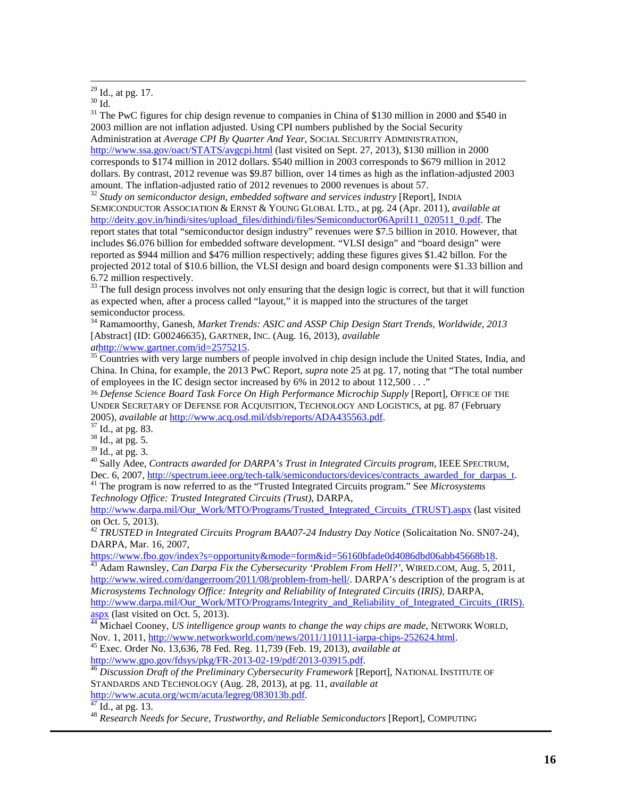<sup>30</sup> Id.<br><sup>31</sup> Id. <sup>31</sup> The PwC figures for chip design revenue to companies in China of \$130 million in 2000 and \$540 in 2003 million are not inflation adjusted. Using CPI numbers published by the Social Security Administration at *Average CPI By Quarter And Year*, SOCIAL SECURITY ADMINISTRATION, <http://www.ssa.gov/oact/STATS/avgcpi.html> (last visited on Sept. 27, 2013), \$130 million in 2000 corresponds to \$174 million in 2012 dollars. \$540 million in 2003 corresponds to \$679 million in 2012 dollars. By contrast, 2012 revenue was \$9.87 billion, over 14 times as high as the inflation-adjusted 2003 amount. The inflation-adjusted ratio of 2012 revenues to 2000 revenues is about 57.

<sup>32</sup> Study on semiconductor design, embedded software and services industry [Report], INDIA SEMICONDUCTOR ASSOCIATION & ERNST & YOUNG GLOBAL LTD., at pg. 24 (Apr. 2011), *available at* [http://deity.gov.in/hindi/sites/upload\\_files/dithindi/files/Semiconductor06April11\\_020511\\_0.pdf.](http://deity.gov.in/hindi/sites/upload_files/dithindi/files/Semiconductor06April11_020511_0.pdf) The report states that total "semiconductor design industry" revenues were \$7.5 billion in 2010. However, that includes \$6.076 billion for embedded software development. "VLSI design" and "board design" were reported as \$944 million and \$476 million respectively; adding these figures gives \$1.42 billon. For the projected 2012 total of \$10.6 billion, the VLSI design and board design components were \$1.33 billion and 6.72 million respectively.

 $33$  The full design process involves not only ensuring that the design logic is correct, but that it will function as expected when, after a process called "layout," it is mapped into the structures of the target semiconductor process.

<sup>34</sup> Ramamoorthy, Ganesh, *Market Trends: ASIC and ASSP Chip Design Start Trends, Worldwide, 2013*  [Abstract] (ID: G00246635), GARTNER, INC. (Aug. 16, 2013), *available* 

*at*[http://www.gartner.com/id=2575215.](http://www.gartner.com/id=2575215) 3[5](http://www.gartner.com/id=2575215) Countries with very large numbers of people involved in chip design include the United States, India, and China. In China, for example, the 2013 PwC Report, *supra* note 25 at pg. 17, noting that "The total number of employees in the IC design sector increased by 6% in 2012 to about 112,500 . . .<sup>7</sup>

<sup>36</sup> *Defense Science Board Task Force On High Performance Microchip Supply* [Report], OFFICE OF THE UNDER SECRETARY OF DEFENSE FOR ACQUISITION, TECHNOLOGY AND LOGISTICS, at pg. 87 (February 2005), *available at* [http://www.acq.osd.mil/dsb/reports/ADA435563.pdf.](http://www.acq.osd.mil/dsb/reports/ADA435563.pdf)<br><sup>37</sup> Id., at pg. 83.<br><sup>38</sup> Id., at pg. 5.<br><sup>39</sup> Id., at pg. 3.

<sup>40</sup> Sally Adee, *Contracts awarded for DARPA's Trust in Integrated Circuits program*, IEEE SPECTRUM, Dec. 6, 2007, [http://spectrum.ieee.org/tech-talk/semiconductors/devices/contracts\\_awarded\\_for\\_darpas\\_t.](http://spectrum.ieee.org/tech-talk/semiconductors/devices/contracts_awarded_for_darpas_t) <sup>41</sup> The program is now referred to as the "Trusted Integrated Circuits program." See *Microsystems* 

*Technology Office: Trusted Integrated Circuits (Trust)*, DARPA,

[http://www.darpa.mil/Our\\_Work/MTO/Programs/Trusted\\_Integrated\\_Circuits\\_\(TRUST\).aspx](http://www.darpa.mil/Our_Work/MTO/Programs/Trusted_Integrated_Circuits_(TRUST).aspx) (last visited on Oct. 5, 2013).

<span id="page-15-0"></span><sup>42</sup> *TRUSTED in Integrated Circuits Program BAA07-24 Industry Day Notice* (Solicaitation No. SN07-24), DARPA, Mar. 16, 2007,<br>https://www.fbo.gov/index?s=opportunity&mode=form&id=56160bfade0d4086dbd06abb45668b18.

<span id="page-15-1"></span>https://www.fbo.gov/index.com/index.prodessecurity 'Problem From Hell?', WIRED.COM, Aug. 5, 2011, [http://www.wired.com/dangerroom/2011/08/problem-from-hell/.](http://www.wired.com/dangerroom/2011/08/problem-from-hell/) DARPA's description of the program is at *Microsystems Technology Office: Integrity and Reliability of Integrated Circuits (IRIS)*, DARPA, [http://www.darpa.mil/Our\\_Work/MTO/Programs/Integrity\\_and\\_Reliability\\_of\\_Integrated\\_Circuits\\_\(IRIS\).](http://www.darpa.mil/Our_Work/MTO/Programs/Integrity_and_Reliability_of_Integrated_Circuits_(IRIS).aspx)

aspx [\(](http://www.darpa.mil/Our_Work/MTO/Programs/Integrity_and_Reliability_of_Integrated_Circuits_(IRIS).aspx)last visited on Oct. 5, 2013).<br><sup>[44](http://www.darpa.mil/Our_Work/MTO/Programs/Integrity_and_Reliability_of_Integrated_Circuits_(IRIS).aspx)</sup> Michael Cooney, *US intelligence group wants to change the way chips are made*, NETWORK WORLD,<br>Nov. 1, 2011, http://www.networkworld.com/news/2011/110111-iarpa-chips-252624.html.

<sup>45</sup> Exec. Order No. 13,636, 78 Fed. Reg. 11,739 (Feb. 19, 2013), *available at* http://www.gpo.gov/fdsys/pkg/FR-2013-02-19/pdf/2013-03915.pdf.

<sup>46</sup> Discussion Draft of the Preliminary Cybersecurity Framework [Report], NATIONAL INSTITUTE OF STANDARDS AND TECHNOLOGY (Aug. 28, 2013), at pg. 11, *available at*

<sup>[47](http://www.acuta.org/wcm/acuta/legreg/083013b.pdf)</sup> Id., at pg. 13. *Particular 13. Research Needs for Secure, Trustworthy, and Reliable Semiconductors* [Report], COMPUTING

<sup>&</sup>lt;sup>29</sup> Id., at pg. 17.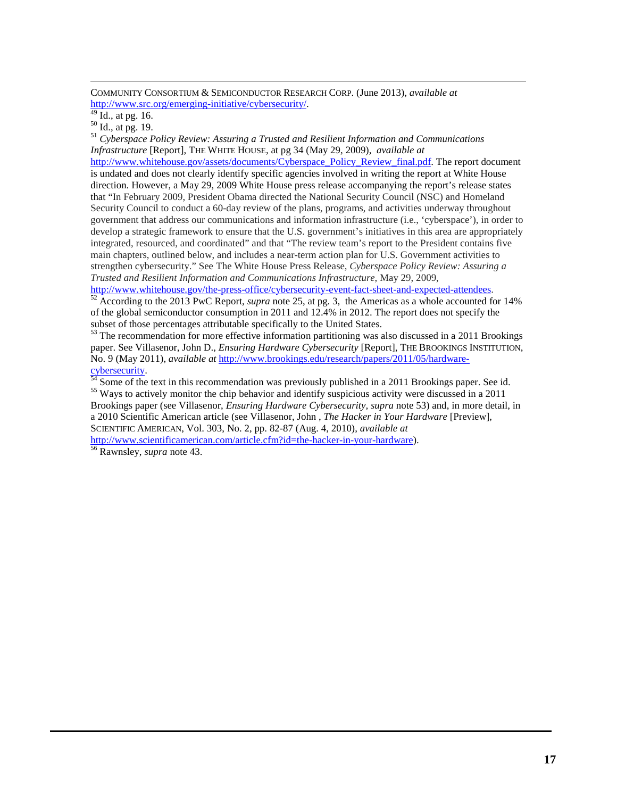COMMUNITY CONSORTIUM & SEMICONDUCTOR RESEARCH CORP. (June 2013), *available at*

<span id="page-16-5"></span>http://www.src.org/emerging-initiative/cybersecurity/.<br><sup>49</sup> Id., at pg. 16.<br><sup>50</sup> Id., at pg. 19.<br><sup>51</sup> *Cyberspace Policy Review: Assuring a Trusted and Resilient Information and Communications Infrastructure* [Report], THE WHITE HOUSE, at pg 34 (May 29, 2009), *available at*

[http://www.whitehouse.gov/assets/documents/Cyberspace\\_Policy\\_Review\\_final.pdf.](http://www.whitehouse.gov/assets/documents/Cyberspace_Policy_Review_final.pdf) The report document is undated and does not clearly identify specific agencies involved in writing the report at White House direction. However, a May 29, 2009 White House press release accompanying the report's release states that "In February 2009, President Obama directed the National Security Council (NSC) and Homeland Security Council to conduct a 60-day review of the plans, programs, and activities underway throughout government that address our communications and information infrastructure (i.e., 'cyberspace'), in order to develop a strategic framework to ensure that the U.S. government's initiatives in this area are appropriately integrated, resourced, and coordinated" and that "The review team's report to the President contains five main chapters, outlined below, and includes a near-term action plan for U.S. Government activities to strengthen cybersecurity." See The White House Press Release, *Cyberspace Policy Review: Assuring a Trusted and Resilient Information and Communications Infrastructure*, May 29, 2009,<br>http://www.whitehouse.gov/the-press-office/cybersecurity-event-fact-sheet-and-expected-attendees.

 $\frac{52}{2}$  $\frac{52}{2}$  $\frac{52}{2}$  According to the 2013 PwC Report, *supra* note 25, at pg. 3, the Americas as a whole accounted for 14% of the global semiconductor consumption in 2011 and 12.4% in 2012. The report does not specify the subset of those percentages attributable specifically to the United States.

<sup>53</sup> The recommendation for more effective information partitioning was also discussed in a 2011 Brookings paper. See Villasenor, John D., *Ensuring Hardware Cybersecurity* [Report], THE BROOKINGS INSTITUTION, No. 9 (May 2011), *available at* [http://www.brookings.edu/research/papers/2011/05/hardware-](http://www.brookings.edu/research/papers/2011/05/hardware-cybersecurity)

[cybersecurity.](http://www.brookings.edu/research/papers/2011/05/hardware-cybersecurity)<br><sup>[54](http://www.brookings.edu/research/papers/2011/05/hardware-cybersecurity)</sup> Some of the text in this recommendation was previously published in a 2011 Brookings paper. See id.<br><sup>55</sup> Ways to actively monitor the chip behavior and identify suspicious activity were discussed in a Brookings paper (see Villasenor, *Ensuring Hardware Cybersecurity, supra* note 53) and, in more detail, in a 2010 Scientific American article (see Villasenor, John , *The Hacker in Your Hardware* [Preview], SCIENTIFIC AMERICAN, Vol. 303, No. 2, pp. 82-87 (Aug. 4, 2010), *available at*

[http://www.scientificamerican.com/article.cfm?id=the-hacker-in-your-hardware\)](http://www.scientificamerican.com/article.cfm?id=the-hacker-in-your-hardware). <sup>56</sup> Rawnsley, *supra* note 43.

<span id="page-16-4"></span><span id="page-16-3"></span><span id="page-16-2"></span><span id="page-16-1"></span><span id="page-16-0"></span>